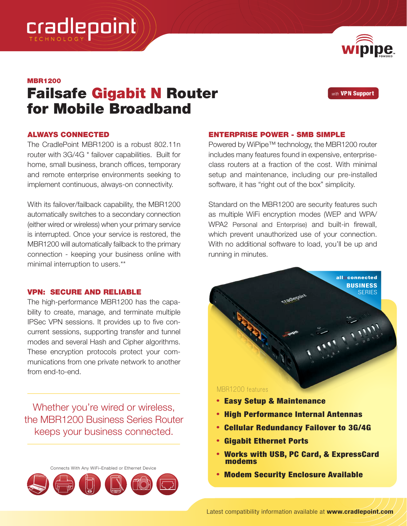

# MBR1200

# Failsafe Gigabit N Router for Mobile Broadband

*with* VPN Support

**BUSINESS SERIES** 

all::connected

### ALWAYS CONNECTED

The CradlePoint MBR1200 is a robust 802.11n router with 3G/4G \* failover capabilities. Built for home, small business, branch offices, temporary and remote enterprise environments seeking to implement continuous, always-on connectivity.

With its failover/failback capability, the MBR1200 automatically switches to a secondary connection (either wired or wireless) when your primary service is interrupted. Once your service is restored, the MBR1200 will automatically failback to the primary connection - keeping your business online with minimal interruption to users.\*\*

# VPN: SECURE AND RELIABLE

The high-performance MBR1200 has the capability to create, manage, and terminate multiple IPSec VPN sessions. It provides up to five concurrent sessions, supporting transfer and tunnel modes and several Hash and Cipher algorithms. These encryption protocols protect your communications from one private network to another from end-to-end.

Whether you're wired or wireless, the MBR1200 Business Series Router keeps your business connected.





Powered by WiPipe™ technology, the MBR1200 router includes many features found in expensive, enterpriseclass routers at a fraction of the cost. With minimal setup and maintenance, including our pre-installed software, it has "right out of the box" simplicity.

Standard on the MBR1200 are security features such as multiple WiFi encryption modes (WEP and WPA/ WPA2 Personal and Enterprise) and built-in firewall, which prevent unauthorized use of your connection. With no additional software to load, you'll be up and running in minutes.

#### MBR1200 features

- Easy Setup & Maintenance
- High Performance Internal Antennas
- Cellular Redundancy Failover to 3G/4G
- Gigabit Ethernet Ports
- Works with USB, PC Card, & ExpressCard modems
- Modem Security Enclosure Available